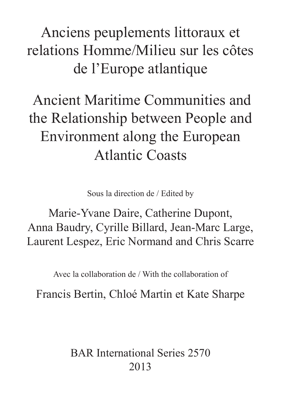Anciens peuplements littoraux et relations Homme/Milieu sur les côtes de l'Europe atlantique

# Ancient Maritime Communities and the Relationship between People and Environment along the European Atlantic Coasts

Sous la direction de / Edited by

Marie-Yvane Daire, Catherine Dupont, Anna Baudry, Cyrille Billard, Jean-Marc Large, Laurent Lespez, Eric Normand and Chris Scarre

Avec la collaboration de / With the collaboration of

Francis Bertin, Chloé Martin et Kate Sharpe

BAR International Series 2570 2013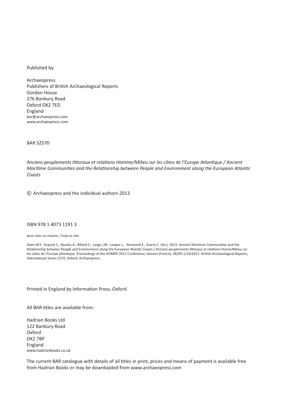#### Published by

Archaeopress Publishers of British Archaeological Reports Gordon House 276 Banbury Road Oxford OX2 7ED England bar@archaeopress.com www.archaeopress.com

#### BAR S2570

*Anciens peuplements littoraux et relations Homme/Milieu sur les côtes de l'Europe Atlantique / Ancient Maritime Communities and the Relationship between People and Environment along the European Atlantic Coasts* 

© Archaeopress and the individual authors 2013

# ISBN 978 1 4073 1191 3

pour citer ce volume / how to cite:

Daire M.Y., Dupont C., Baudry A., Billard C., Large J.M., Lespez L., Normand E., Scarre C. (dir.), 2013. Ancient Maritime Communities and the Relationship between People and Environment along the European Atlantic Coasts / Anciens peuplements littoraux et relations Home/Milieu sur les côtes de l'Europe atlantique. Proceedings of the HOMER 2011 Conference, Vannes (France), 28/09-1/10/2011. British Archaeological Reports, International Series 2570, Oxford: Archaeopress.

Printed in England by Information Press, Oxford

All BAR titles are available from:

Hadrian Books Ltd 122 Banbury Road Oxford OX2 7BP England www.hadrianbooks.co.uk

The current BAR catalogue with details of all titles in print, prices and means of payment is available free from Hadrian Books or may be downloaded from www.archaeopress.com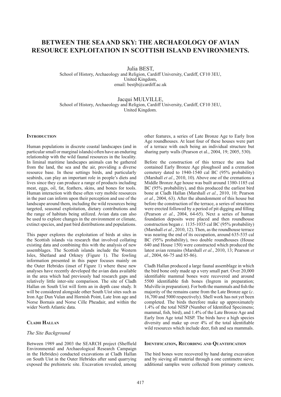# **BETWEEN THE SEA AND SKY: THE ARCHAEOLOGY OF AVIAN RESOURCE EXPLOITATION IN SCOTTISH ISLAND ENVIRONMENTS.**

Julia BEST,

School of History, Archaeology and Religion, Cardiff University, Cardiff, CF10 3EU, United Kingdom, email: bestjb@cardiff.ac.uk

Jacqui MULVILLE, School of History, Archaeology and Religion, Cardiff University, Cardiff, CF10 3EU, United Kingdom.

#### **INTRODUCTION**

Human populations in discrete coastal landscapes (and in particular small or marginal islands) often have an enduring relationship with the wild faunal resources in the locality. In liminal maritime landscapes animals can be gathered from the land, the sea and the air, providing a diverse resource base. In these settings birds, and particularly seabirds, can play an important role in people's diets and lives since they can produce a range of products including meat, eggs, oil, fat, feathers, skins, and bones for tools. Human interaction with these often very mobile resources in the past can inform upon their perception and use of the landscape around them, including the wild resources being targeted, seasonal exploitation, dietary contributions and the range of habitats being utilized. Avian data can also be used to explore changes in the environment or climate, extinct species, and past bird distributions and populations.

This paper explores the exploitation of birds at sites in the Scottish islands via research that involved collating existing data and combining this with the analysis of new assemblages. The Scottish islands include the Western Isles, Shetland and Orkney (Figure 1). The fowling information presented in this paper focuses mainly on the Outer Hebrides (inset of Figure 1) where these new analyses have recently developed the avian data available in the area which had previously had research gaps and relatively little inter-site comparison. The site of Cladh Hallan on South Uist will form an in depth case study. It will be considered alongside other South Uist sites such as Iron Age Dun Vulan and Hornish Point, Late Iron age and Norse Bornais and Norse Cille Pheadair, and within the wider North Atlantic data.

# **CLADH HALLAN**

# *The Site Background*

Between 1989 and 2003 the SEARCH project (Sheffield Environmental and Archaeological Research Campaign in the Hebrides) conducted excavations at Cladh Hallan on South Uist in the Outer Hebrides after sand quarrying exposed the prehistoric site. Excavation revealed, among

other features, a series of Late Bronze Age to Early Iron Age roundhouses. At least four of these houses were part of a terrace with each being an individual structure but sharing party walls (Pearson et al., 2004, 19; 2005, 530).

Before the construction of this terrace the area had contained Early Bronze Age ploughsoil and a cremation cemetery dated to 1940-1540 cal BC (95% probability) (Marshall *et al.*, 2010, 10). Above one of the cremations a Middle Bronze Age house was built around 1380-1185 cal BC (95% probability), and this produced the earliest bird bone at Cladh Hallan (Marshall *et al.*, 2010, 10; Pearson *et al.*, 2004, 63). After the abandonment of this house but before the construction of the terrace, a series of structures were erected followed by a period of pit digging and filling (Pearson *et al.*, 2004, 64-65). Next a series of human foundation deposits were placed and then roundhouse construction began *c.* 1135-1035 cal BC (95% probability) (Marshall *et al.*, 2010, 12). Then, as the roundhouse terrace was nearing the end of its occupation, around 635-535 cal BC (95% probability), two double roundhouses (House 640 and House 150) were constructed which produced the latest avian remains (Marshall *et al.*, 2010, 13; Pearson *et al.*, 2004, 66-75 and 85-86).

Cladh Hallan produced a large faunal assemblage in which the bird bone only made up a very small part. Over 20,000 identifiable mammal bones were recovered and around 5500 identifiable fish bones (Ingrem in preparation; Mulville in preparation). For both the mammals and fish the majority of the remains came from the Late Bronze age (*c*. 16,700 and 5000 respectively). Shell work has not yet been completed. The birds therefore make up approximately  $1.4\%$  of the total NISP (Number of Identified Specimens; mammal, fish, bird), and 1.4% of the Late Bronze Age and Early Iron Age total NISP. The birds have a high species diversity and make up over  $4\%$  of the total identifiable wild resources which include deer, fish and sea mammals.

#### **IDENTIFICATION, RECORDING AND QUANTIFICATION**

The bird bones were recovered by hand during excavation and by sieving all material through a one centimetre sieve; additional samples were collected from primary contexts.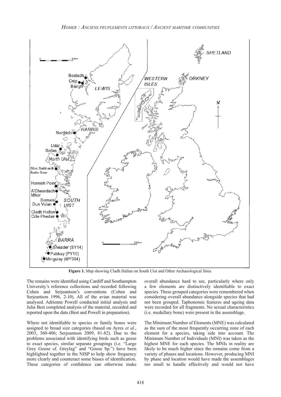

**Figure 1.** Map showing Cladh Hallan on South Uist and Other Archaeological Sites.

The remains were identified using Cardiff and Southampton University's reference collections and recorded following Cohen and Serjeantson's conventions (Cohen and Serjeantson 1996, 2-10). All of the avian material was analysed. Adrienne Powell conducted initial analysis and Julia Best completed analysis of the material, recorded and reported upon the data (Best and Powell in preparation).

Where not identifiable to species or family bones were assigned to broad size categories (based on Ayres *et al*., 2003, 360-406; Serjeantson 2009, 81-82). Due to the problems associated with identifying birds such as geese to exact species, similar separate groupings (i.e. "Large Grey Goose cf. Greylag" and "Goose Sp.") have been highlighted together in the NISP to help show frequency more clearly and counteract some biases of identification. These categories of confidence can otherwise make

overall abundance hard to see, particularly where only a few elements are distinctively identifiable to exact species. These grouped categories were remembered when considering overall abundance alongside species that had not been grouped. Taphonomic features and ageing data were recorded for all fragments. No sexual characteristics (i.e. medullary bone) were present in the assemblage.

The Minimum Number of Elements (MNE) was calculated as the sum of the most frequently occurring zone of each element for a species, taking side into account. The Minimum Number of Individuals (MNI) was taken as the highest MNE for each species. The MNIs in reality are likely to be much higher since the remains come from a variety of phases and locations. However, producing MNI by phase and location would have made the assemblages too small to handle effectively and would not have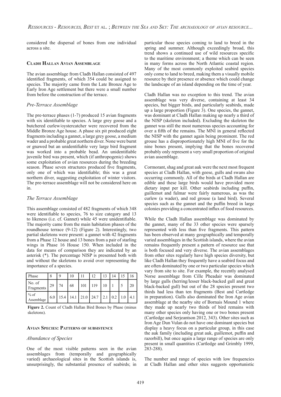considered the dispersal of bones from one individual across a site.

#### **CLADH HALLAN AVIAN ASSEMBLAGE**

The avian assemblage from Cladh Hallan consisted of 497 identified fragments, of which 354 could be assigned to species. The majority came from the Late Bronze Age to Early Iron Age settlement but there were a small number from before the construction of the terrace.

# *Pre-Terrace Assemblage*

The pre-terrace phases (1-7) produced 15 avian fragments with six identifiable to species. A large grey goose and a butchered curlew/oystercatcher were recovered from the Middle Bronze Age house. A phase six pit produced eight fragments including a gannet, a large grey goose, a medium wader and a probable great northern diver. None were burnt or gnawed but an unidentifiable very large bird fragment was worked into a probable bead. An unidentifiable juvenile bird was present, which (if anthropogenic) shows some exploitation of avian resources during the breeding season. Phase seven structures produced five fragments, only one of which was identifiable; this was a great northern diver, suggesting exploitation of winter visitors. The pre-terrace assemblage will not be considered here on in.

# *The Terrace Assemblage*

This assemblage consisted of 482 fragments of which 348 were identifiable to species, 76 to size category and 13 to likeness (i.e. cf. Gannet) while 45 were unidentifiable. The majority came from the main habitation phases of the roundhouse terrace (9-12) (Figure 2). Interestingly, two partial skeletons were present: a gannet with 42 fragments from a Phase 12 house and 13 bones from a pair of starling wings in Phase 16 House 150. When included in the data for means of comparison they are indicated by an asterisk (\*). The percentage NISP is presented both with and without the skeletons to avoid over representing the importance of a species.

| Phase                | 8   | $\Omega$ |    |     | 12.                                     | 12 |     |     |
|----------------------|-----|----------|----|-----|-----------------------------------------|----|-----|-----|
| No. of<br>Fragments  | 29  | 74       | 68 | 101 | 119                                     |    |     | 20  |
| $%$ of<br>Assemblage | 6.0 |          |    |     | $15.4$   14.1   21.0   24.7   2.1   0.2 |    | 1.0 | 4.1 |

**Figure 2.** Count of Cladh Hallan Bird Bones by Phase (minus skeletons).

# **AVIAN SPECIES: PATTERNS OF SUBSISTENCE**

# *Abundance of Species*

One of the most visible patterns seen in the avian assemblages from (temporally and geographically varied) archaeological sites in the Scottish islands is, unsurprisingly, the substantial presence of seabirds; in particular those species coming to land to breed in the spring and summer. Although exceedingly broad, this trend shows a continued use of wild resources specific to the maritime environment; a theme which can be seen in many forms across the North Atlantic coastal region. Many of the most commonly exploited seabird species only come to land to breed, making them a visually mobile resource by their presence or absence which could change the landscape of an island depending on the time of year.

Cladh Hallan was no exception to this trend. The avian assemblage was very diverse, containing at least 34 species, but bigger birds, and particularly seabirds, made up a large proportion (Figure 3). One species, the gannet, was dominant at Cladh Hallan making up nearly a third of the NISP (skeleton included). Excluding the skeleton the gannet was still the most numerous species accounting for over a fifth of the remains. The MNI in general reflected the NISP with the gannet again being prominent. The red grouse has a disproportionately high MNI of five for the nine bones present, implying that the bones recovered probably only represent a very small proportion of original avian assemblage.

Cormorant, shag and great auk were the next most frequent species at Cladh Hallan, with geese, gulls and swans also occurring commonly. All of the birds at Cladh Hallan are edible and these large birds would have provided more dietary input per kill. Other seabirds including puffin, guillemot and fulmar were fairly numerous, as was the curlew (a wader), and red grouse (a land bird). Several species such as the gannet and the puffin breed in large colonies providing a concentrated influx of food resources.

While the Cladh Hallan assemblage was dominated by the gannet, many of the 33 other species were sparsely represented with less than five fragments. This pattern has been observed at many geographically and temporally varied assemblages in the Scottish islands, where the avian remains frequently present a pattern of resource use that is both focused and very diverse. The avian assemblages from other sites regularly have high species diversity, but like Cladh Hallan they frequently have a seabird focus and are often dominated by one or two particular species which vary from site to site. For example, the recently analysed Norse assemblage from Cille Pheadair was dominated by large gulls (herring/lesser black-backed gull and great black-backed gull) but out of the 28 species present two thirds had less than ten fragments (Best and Cartledge in preparation). Gulls also dominated the Iron Age avian assemblage at the nearby site of Bornais Mound 1 where they made up nearly two thirds of bird remains with many other species only having one or two bones present (Cartledge and Serjeantson 2012, 343). Other sites such as Iron Age Dun Vulan do not have one dominant species but display a heavy focus on a particular group, in this case the auk family (including great auk, guillemot, puffin and razorbill), but once again a large range of species are only present in small quantities (Cartledge and Grimbly 1999, 283-288).

The number and range of species with low frequencies at Cladh Hallan and other sites suggests opportunistic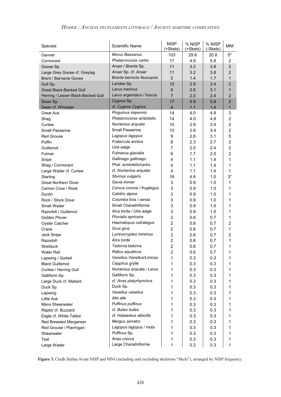# *HOMER : ANCIENS PEUPLEMENTS LITTORAUX / ANCIENT MARITIME COMMUNITIES*

| Species                            | Scientific Name            | <b>NISP</b><br>(+Skels) | % NISP<br>(+Skels) | % NISP<br>(-Skels) | <b>MNI</b>     |
|------------------------------------|----------------------------|-------------------------|--------------------|--------------------|----------------|
| Gannet                             | Morus Bassanus             | 103                     | 29.6               | 20.8               | $5*$           |
| Cormorant                          | Phalacrocorax carbo        | 17                      | 4.9                | 5.8                | $\overline{2}$ |
| Goose Sp.                          | Anser / Branta Sp.         | 11                      | 3.2                | 3.8                | $\overline{2}$ |
| Large Grey Goose cf. Greylag       | Anser Sp. cf. Anser        | 11                      | 3.2                | 3.8                | $\overline{2}$ |
| Brent / Barnacle Goose             | Branta bernicla /leucopsis | 5                       | 1.4                | 1.7                | 1              |
| Gull Sp.                           | Laridae Sp.                | 10                      | 2.9                | 3.4                | $\overline{2}$ |
| <b>Great Black-Backed Gull</b>     | Larus marinus              | 9                       | 2.6                | 3.1                | $\mathbf{1}$   |
| Herring / Lesser Black-Backed Gull | Larus argentatus / fuscus  | $\overline{7}$          | 2.0                | 2.4                | $\overline{2}$ |
| Swan Sp.                           | Cygnus Sp.                 | 17                      | 4.9                | 5.8                | $\overline{2}$ |
| Swan cf. Whooper                   | cf. Cygnus Cygnus          | $\overline{\mathbf{4}}$ | 1.1                | 1.4                | $\mathbf{1}$   |
| <b>Great Auk</b>                   | Pinguinus impennis         | 14                      | 4.0                | 4.8                | 3              |
| Shag                               | Phalacrocorax aristotelis  | 14                      | 4.0                | 4.8                | $\overline{2}$ |
| Curlew                             | Numenius arquata           | 10                      | 2.9                | 3.4                | $\overline{2}$ |
| <b>Small Passerine</b>             | <b>Small Passerine</b>     | 10                      | 2.9                | 3.4                | $\overline{c}$ |
| <b>Red Grouse</b>                  | Lagopus lagopus            | 9                       | 2.6                | 3.1                | 5              |
| Puffin                             | Fratercula arctica         | 8                       | 2.3                | 2.7                | $\overline{2}$ |
| Guillemot                          | Uria aalge                 | $\overline{7}$          | 2.0                | 2.4                | $\overline{2}$ |
| Fulmar                             | Fulmarus glacialis         | 6                       | 1.7                | 2.0                | $\overline{2}$ |
| Snipe                              | Gallinago gallinago        | 4                       | 1.1                | 1.4                | 1              |
| Shag / Cormorant                   | Phal. aristotelis/carbo    | 4                       | 1.1                | 1.4                | 1              |
| Large Wader cf. Curlew             | cf. Numenius arquata       | 4                       | 1.1                | 1.4                | 1              |
| Starling                           | Sturnus vulgaris           | 16                      | 4.6                | 1.0                | $3^*$          |
| <b>Great Northern Diver</b>        | Gavia immer                | 3                       | 0.9                | 1.0                | 1              |
| Carrion Crow / Rook                | Corvus corone / frugilegus | 3                       | 0.9                | 1.0                | 1              |
| Dunlin                             | Calidris alpina            | 3                       | 0.9                | 1.0                | 1              |
| Rock / Stock Dove                  | Columba livia / oenas      | 3                       | 0.9                | 1.0                | 1              |
| Small Wader                        | Small Charadriiforme       | 3                       | 0.9                | 1.0                | 1              |
| Razorbill / Guillemot              | Alca torda / Uria aalge    | 3                       | 0.9                | 1.0                | 1              |
| Golden Plover                      | Pluvialis apricaria        | $\overline{2}$          | 0.6                | 0.7                | 1              |
| <b>Oyster Catcher</b>              | Haematopus ostralegus      | $\overline{2}$          | 0.6                | 0.7                | $\overline{2}$ |
| Crane                              | Grus grus                  | $\overline{2}$          | 0.6                | 0.7                | 1              |
| Jack Snipe                         | Lymnocryptes minimus       | $\overline{2}$          | 0.6                | 0.7                | $\overline{2}$ |
| Razorbill                          | Alca torda                 | $\overline{2}$          | 0.6                | 0.7                | 1              |
| Shelduck                           | Tadorna tadorna            | $\overline{c}$          | 0.6                | 0.7                | 1              |
| Water Rail                         | Rallus aquaticus           | 2                       | 0.6                | 0.7                | 1              |
| Lapwing / Godwit                   | Vanellus Vanellus/Limosa   | 1                       | 0.3                | 0.3                | 1              |
| <b>Black Guillemot</b>             | Cepphus grylle             | 1                       | 0.3                | 0.3                | 1              |
| Curlew / Herring Gull              | Numenius arquata / Larus   | 1                       | 0.3                | 0.3                | 1              |
| Galliform Sp.                      | Galliform Sp.              | 1                       | 0.3                | 0.3                | 1              |
| Large Duck cf. Mallard             | cf. Anas platyrhynchos     | 1                       | 0.3                | 0.3                | 1              |
| Duck Sp.                           | Duck Sp.                   | 1                       | 0.3                | 0.3                | 1              |
| Lapwing                            | Vanellus vanellus          | 1                       | 0.3                | 0.3                | 1              |
| Little Auk                         | Alle alle                  | 1                       | 0.3                | 0.3                | 1              |
| Manx Shearwater                    | Puffinus puffinus          | 1                       | 0.3                | 0.3                | 1              |
| Raptor cf. Buzzard                 | cf. Buteo buteo            | 1                       | 0.3                | 0.3                | 1              |
| Eagle cf. White-Tailed             | cf. Haliaeetus albicilla   | 1                       | 0.3                | 0.3                | 1              |
| Red Breasted Merganser             | Mergus serrator            | 1                       | 0.3                | 0.3                | 1              |
| Red Grouse / Ptarmigan             | Lagopus lagopus / muta     | 1                       | 0.3                | 0.3                | 1              |
| Shearwater                         | Puffinus Sp.               | 1                       | 0.3                | 0.3                | 1              |
| Teal                               | Anas crecca                | 1                       | 0.3                | 0.3                | 1              |
| Large Wader                        | Large Charadriiforme       | 1                       | 0.3                | 0.3                | 1              |

Figure 3. Cladh Hallan Avian NISP and MNI (including and excluding skeletons "Skels"), arranged by NISP frequency.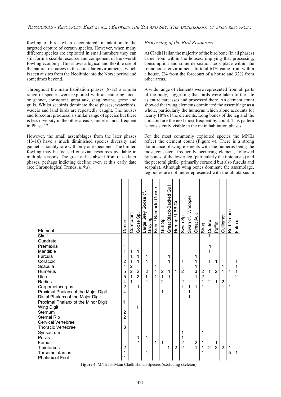fowling of birds when encountered, in addition to the targeted capture of certain species. However, when many different species are exploited in small numbers they can still form a sizable resource and component of the overall fowling economy. This shows a logical and flexible use of the natural resources in these insular environments, which is seen at sites from the Neolithic into the Norse period and sometimes beyond.

Throughout the main habitation phases (8-12) a similar range of species were exploited with an enduring focus on gannet, cormorant, great auk, shag, swans, geese and gulls. Whilst seabirds dominate these phases; waterbirds, waders and land birds are repeatedly caught. The houses and forecourt produced a similar range of species but there is less diversity in the other areas. Gannet is most frequent in Phase 12.

However, the small assemblages from the later phases (13-16) have a much diminished species diversity and gannet is notably rare with only one specimen. The limited fowling may be focused on avian resources available in multiple seasons. The great auk is absent from these later phases, perhaps indicting decline even at this early date (see Chronological Trends, *infra*).

#### *Processing of the Bird Resources*

At Cladh Hallan the majority of the bird bone (in all phases) came from within the houses; implying that processing, consumption and some deposition took place within the roundhouse environment. In total 61% came from within a house, 7% from the forecourt of a house and 32% from other areas.

A wide range of elements were represented from all parts of the body, suggesting that birds were taken to the site as entire carcasses and processed there. An element count showed that wing elements dominated the assemblage as a whole, particularly the humerus which alone accounts for nearly 18% of the elements. Long bones of the leg and the coracoid are the next most frequent by count. This pattern is consistently visible in the main habitation phases.

For the most commonly exploited species the MNEs reflect the element count (Figure 4). There is a strong dominance of wing elements with the humerus being the most consistent frequently occurring element, followed by bones of the lower leg (particularly the tibiotarsus) and the pectoral girdle (primarily coracoid but also furcula and scapula). Although wing bones dominate the assemblage, leg bones are not underrepresented with the tibiotarsus in

| Element                                                                                                                                                                                                                                                                         | Gannet                                                                             | Cormorant                                                 | Goose Sp.                                                 | ৳<br>Goose<br>Large Grey<br>Greylag | Goose<br>Brent / Barnacle | Gull Sp.                                   | $\bar{5}$<br>Great Black-Backed | <b>J</b><br>Herring / LBB | Swan Sp.                                   | Swan cf. Whooper | Auk<br>Great.              | Shag                                       | Curlew                                  | Puffin                   | Guillemot                                | Red Grouse | Fulmar                        |
|---------------------------------------------------------------------------------------------------------------------------------------------------------------------------------------------------------------------------------------------------------------------------------|------------------------------------------------------------------------------------|-----------------------------------------------------------|-----------------------------------------------------------|-------------------------------------|---------------------------|--------------------------------------------|---------------------------------|---------------------------|--------------------------------------------|------------------|----------------------------|--------------------------------------------|-----------------------------------------|--------------------------|------------------------------------------|------------|-------------------------------|
| Skull<br>Quadrate<br>Premaxila<br>Mandible<br>Furcula<br>Coracoid<br>Scapula<br>Humerus<br>Ulna<br>Radius<br>Carpometacarpus<br>Proximal Phalanx of the Major Digit<br>Distal Phalanx of the Major Digit<br>Proximal Phalanx of the Minor Digit<br><b>Wing Digit</b><br>Sternum | 1<br>1<br>1<br>2<br>1<br>5<br>5<br>4<br>$\overline{2}$<br>4<br>1<br>$\overline{2}$ | 1<br>1<br>1<br>$\overline{2}$<br>$\overline{2}$<br>1<br>1 | 1<br>1<br>1<br>$\overline{2}$<br>$\overline{2}$<br>1<br>1 | 1<br>1<br>$\overline{2}$<br>1<br>1  | 1<br>1<br>1               | $\overline{2}$<br>1<br>$\overline{2}$<br>1 | 1<br>1<br>1<br>1                | 1                         | 1<br>$\overline{2}$<br>$\overline{2}$<br>1 | 1<br>1<br>1      | 1<br>1<br>1<br>3<br>1<br>1 | $\overline{2}$<br>$\overline{2}$<br>1<br>1 | 1<br>1<br>1<br>1<br>1<br>$\overline{2}$ | 1<br>$\overline{2}$<br>1 | 1<br>$\mathbf{1}$<br>$\overline{2}$<br>1 | 1<br>1     | 1<br>1<br>1<br>$\overline{2}$ |
| <b>Sternal Rib</b><br><b>Cervical Vertebrae</b><br><b>Thoracic Vertebrae</b><br>Synsacrum<br>Pelvis<br>Femur<br><b>Tibiotarsus</b><br>Tarsometatarsus<br><b>Phalanx of Foot</b>                                                                                                 | $\overline{2}$<br>1<br>3<br>2<br>1<br>1                                            |                                                           | 1<br>1                                                    | 1<br>1                              | 1                         | 1                                          | 1                               | $\overline{2}$            | 1<br>1<br>$\overline{2}$<br>$\overline{2}$ |                  | 2<br>1                     | 1<br>1<br>1<br>1                           | 2                                       | 1<br>$\overline{2}$      | $\overline{2}$                           | 1<br>5     | 1                             |

**Figure 4.** MNE for Main Cladh Hallan Species (excluding skeleton).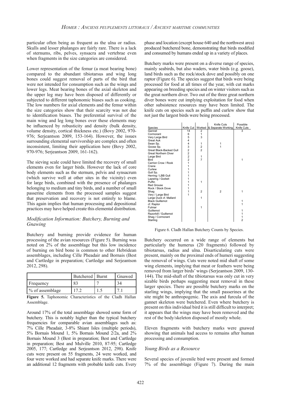particular often being as frequent as the ulna or radius. Skulls and lesser phalanges are fairly rare. There is a lack of sternums, ribs, pelves, synsacra and vertebrae even when fragments in the size categories are considered.

Lower representation of the femur (a meat bearing bone) compared to the abundant tibiotarsus and wing long bones could suggest removal of parts of the bird that were not intended for consumption such as the wings and lower legs. Meat bearing bones of the axial skeleton and the upper leg may have been disposed of differently or subjected to different taphonomic biases such as cooking. The low numbers for axial elements and the femur within the size categories show that their scarcity was not due to identification biases. The preferential survival of the main wing and leg long bones over these elements may be influenced by robusticity and density (bulk density, volume density, cortical thickness etc.) (Bovy 2002, 970- 976; Serjeantson 2009, 153-164). However, the issues surrounding elemental survivorship are complex and often inconsistent, limiting their application here (Bovy 2002, 970-976; Serjeantson 2009, 161-162).

The sieving scale could have limited the recovery of small elements even for larger birds. However the lack of core body elements such as the sternum, pelvis and synsacrum (which survive well at other sites in the vicinity) even for large birds, combined with the presence of phalanges belonging to medium and tiny birds, and a number of small passerine elements from the processed samples suggest that preservation and recovery is not entirely to blame. This again implies that human processing and depositional practices may have helped create this elemental distribution.

#### *Modification Information: Butchery, Burning and Gnawing*

Butchery and burning provide evidence for human processing of the avian resources (Figure 5). Burning was noted on 2% of the assemblage but this low incidence of burning on bird bone is common to other Hebridean assemblages, including Cille Pheadair and Bornais (Best and Cartledge in preparation; Cartledge and Serjeantson 2012, 298).

|                 | Butchered   Burnt | Gnawed |
|-----------------|-------------------|--------|
| Frequency       | 83                |        |
| % of assemblage |                   |        |

**Figure 5.** Taphonomic Characteristics of the Cladh Hallan Assemblage.

Around 17% of the total assemblage showed some form of butchery. This is notably higher than the typical butchery frequencies for comparable avian assemblages such as: 7% Cille Pheadair, 3-8% Shiant Isles (multiple periods), 5% Bornais Mound 1, 5% Bornais Mound 2/2a, and 2% Bornais Mound 3 (Best in preparation; Best and Cartledge in preparation; Best and Mulville 2010, 87-95; Cartledge 2005, 177; Cartledge and Serjeantson 2012, 298). Knife cuts were present on 55 fragments, 24 were worked, and four were worked and had separate knife marks. There were an additional 12 fragments with probable knife cuts. Every phase and location (except house 640 and the northwest area) produced butchered bone, demonstrating that birds modified and consumed by humans ended up in a variety of places.

Butchery marks were present on a diverse range of species, mainly seabirds, but also waders, water birds (e.g. goose), land birds such as the rock/stock dove and possibly on one raptor (Figure 6). The species suggest that birds were being processed for food at all times of the year, with cut marks appearing on breeding species and on winter visitors such as the great northern diver. Two out of the three great northern diver bones were cut implying exploitation for food when other subsistence resources may have been limited. The knife cuts on species such as puffin and curlew show that not just the largest birds were being processed.

|                             |           |                | Knife Cuts         | Possible       |
|-----------------------------|-----------|----------------|--------------------|----------------|
| Species                     | Knife Cut | Worked         | & Separate Working | Knife Cuts     |
| Gannet                      | 14        | $\overline{2}$ |                    | 3              |
| Cormorant                   | 6         | 1              |                    |                |
| Very Large Bird             | 5         | 3              |                    |                |
| Great Auk                   | 4         |                |                    |                |
| Swan Sp.                    | 4         | 1              | 1                  |                |
| Goose Sp.                   |           | $\frac{2}{2}$  |                    |                |
| Great Black-Backed Gull     |           |                |                    |                |
| <b>Great Northern Diver</b> |           |                |                    |                |
| Large Bird                  | 3222      | 1              |                    |                |
| <b>Bird</b>                 |           | $\overline{7}$ |                    | 1              |
| Carrion Crow / Rook         | 1         |                |                    |                |
| Crane                       | 1         |                |                    |                |
| Curlew                      | 1         |                |                    |                |
| Gull Sp.                    |           |                |                    |                |
| Herring / LBB Gull          |           |                |                    |                |
| Lapwing / Godwit            | 1         |                |                    |                |
| Puffin                      |           | 1              |                    |                |
| Red Grouse                  | 1         |                |                    |                |
| Rock / Stock Dove           | 1         |                |                    |                |
| Shag                        | 1         | $\overline{2}$ | $\overline{2}$     | 1              |
| Very / Large Bird           | 1         |                |                    |                |
| Large Duck cf. Mallard      |           | 1              |                    |                |
| <b>Black Guillemot</b>      |           |                |                    | 1              |
| cf. Raptor                  |           |                |                    | 1              |
| Fulmar                      |           | 1              |                    |                |
| Guillemot                   |           |                |                    |                |
| Razorbill / Guillemot       |           |                |                    | 1              |
| Shag / Cormorant            |           |                |                    | 1              |
| Starling                    |           |                |                    | $\overline{2}$ |
|                             |           |                |                    |                |

Figure 6. Cladh Hallan Butchery Counts by Species.

Butchery occurred on a wide range of elements but particularly the humerus (20 fragments) followed by tibiotarsus, radius and ulna. Disarticulating cuts were present, mainly on the proximal ends of humeri suggesting the removal of wings. Cuts were noted mid shaft of some wing elements, implying that meat or feathers were being removed from larger birds' wings (Serjeantson 2009, 130- 144). The mid-shaft of the tibiotarsus was only cut in very sizable birds perhaps suggesting meat removal in these larger species. There are possible butchery marks on the starling wings, implying that the small passerines at the site might be anthropogenic. The axis and furcula of the gannet skeleton were butchered. Even where butchery is present on this individual bird it is still difficult to interpret; it appears that the wings may have been removed and the rest of the body/skeleton disposed of mostly whole.

Eleven fragments with butchery marks were gnawed showing that animals had access to remains after human processing and consumption.

#### *Young Birds as a Resource*

Several species of juvenile bird were present and formed 7% of the assemblage (Figure 7). During the main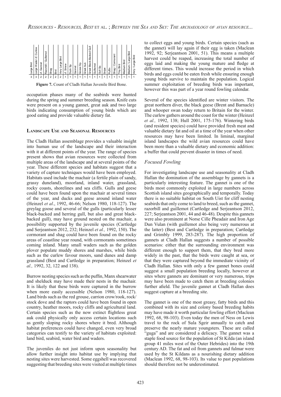

**Figure 7.** Count of Cladh Hallan Juvenile Bird Bone.

occupation phases many of the seabirds were hunted during the spring and summer breeding season. Knife cuts were present on a young gannet, great auk and two large birds indicating consumption of young birds which are good eating and provide valuable dietary fat.

#### **LANDSCAPE USE AND SEASONAL RESOURCES**

The Cladh Hallan assemblage provides a valuable insight into human use of the landscape and their interaction with it at different points of the year. The range of species present shows that avian resources were collected from multiple areas of the landscape and at several points of the year. These different species and habitats suggest that a variety of capture techniques would have been employed. Habitats used include the machair (a fertile plain of sandy, grassy duneland), moorland, inland water, grassland, rocky coasts, shorelines and sea cliffs. Gulls and geese could have been found upon the machair at several times of the year, and ducks and geese around inland water (Heinzel *et al*., 1992, 46-66; Nelson 1980, 118-127). The greylag goose and several of the gulls (particularly lesser black-backed and herring gull, but also and great blackbacked gull), may have ground nested on the machair, a possibility supported by the juvenile species (Cartledge and Serjeantson 2012, 232; Heinzel *et al.,* 1992, 150). The cormorant and shag could have been found on the rocky areas of coastline year round, with cormorants sometimes coming inland. Many small waders such as the golden plover populate muddy shores and marshes, while birds such as the curlew favour moors, sand dunes and damp grassland (Best and Cartledge in preparation; Heinzel *et al.,* 1992, 32, 122 and 138).

Burrow nesting species such as the puffin, Manx shearwater and shelduck may have made their nests in the machair. It is likely that these birds were captured in the burrow when more easily accessible (Nelson 1980, 118-127). Land birds such as the red grouse, carrion crow/rook, rock/ stock dove and the raptors could have been found in open country, heather moors, rocky cliffs and agricultural land. Certain species such as the now extinct flightless great auk could physically only access certain locations such as gently sloping rocky shores where it bred. Although habitat preferences could have changed, even very broad categories can testify to the variety of habitats exploited: land bird, seabird, water bird and waders.

The juveniles do not just inform upon seasonality but allow further insight into habitat use by implying that nesting sites were harvested. Some eggshell was recovered suggesting that breeding sites were visited at multiple times

to collect eggs and young birds. Certain species (such as the gannet) will lay again if their egg is taken (Maclean 1992, 92; Serjeantson 2001, 51). This means a multiple harvest could be reaped, increasing the total number of eggs laid and making the young mature and fledge at different times. This would increase the period in which birds and eggs could be eaten fresh while ensuring enough young birds survive to maintain the population. Logical summer exploitation of breeding birds was important, however this was part of a year round fowling calendar.

Several of the species identified are winter visitors. The great northern diver, the black geese (Brent and Barnacle) and whooper swan today return to Britain for the winter. The curlew gathers around the coast for the winter (Heinzel *et al.,* 1992, 138; Hull 2001, 175-176). Wintering birds (and resident species) could have provided fresh meat and valuable dietary fat and oil at a time of the year when other resources may have been limited. In liminal, marginal island landscapes the wild avian resources could have been more than a valuable dietary and economic addition: a buffer that could prevent disaster in times of need.

# *Focused Fowling*

For investigating landscape use and seasonality at Cladh Hallan the domination of the assemblage by gannets is a particularly interesting feature. The gannet is one of the birds most commonly exploited in large numbers across Scottish island sites geographically and temporally. Today there is no suitable habitat on South Uist for cliff nesting seabirds that only come to land to breed, such as the gannet, razorbill and guillemot (Cartledge and Serjeantson 2012, 227; Serjeantson 2001, 44 and 46-48). Despite this gannets were also prominent at Norse Cille Pheadair and Iron Age Dun Vulan (with guillemot also being very numerous at the latter) (Best and Cartledge in preparation; Cartledge and Grimbly 1999, 283-287). The high proportion of gannets at Cladh Hallan suggests a number of possible scenarios: either that the surrounding environment was different enough to support them, that they bred more widely in the past, that the birds were caught at sea, or that they were captured beyond the immediate vicinity of Cladh Hallan. Sites with only a few gannet bones could suggest a small population breeding locally, however at sites where gannets are dominant or very numerous, trips may have been made to catch them at breeding colonies further afield. The juvenile gannet at Cladh Hallan does suggest capture at a breeding site.

The gannet is one of the most greasy, fatty birds and this combined with its size and colony based breeding habits may have made it worth particular fowling effort (Maclean 1992, 68, 98-103). Even today the men of Ness on Lewis travel to the rock of Sula Sgeir annually to catch and preserve the nearly mature youngsters. These are called "guga" and are considered a delicacy. The gannet was a staple food source for the population of St Kilda (an island group 41 miles west of the Outer Hebrides) into the 19th century AD. The fat and oil from gannets and fulmar were used by the St Kildans as a nourishing dietary addition (Maclean 1992, 68, 98-103). Its value to past populations should therefore not be underestimated.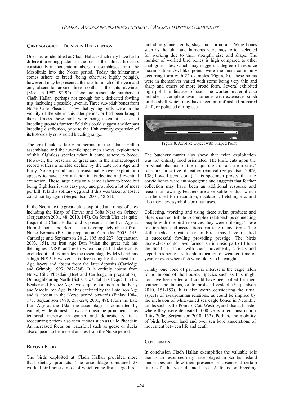#### **CHRONOLOGICAL TRENDS IN DISTRIBUTION**

One species identified at Cladh Hallan which may have had a different breeding pattern in the past is the fulmar. It occurs consistently in moderate numbers in assemblages from the Mesolithic into the Norse period. Today the fulmar only comes ashore to breed (being otherwise highly pelagic), however it may be present at this site for much of the year and only absent for around three months in the autumn/winter (Maclean 1992, 92-94). There are reasonable numbers at Cladh Hallan (perhaps not enough for a dedicated fowling trip) including a possible juvenile. Three sub-adult bones from Norse Cille Pheadair show that young birds were in the vicinity of the site in this later period, or had been brought there. Unless these birds were being taken at sea or at breeding grounds further afield this could suggest a wider past breeding distribution, prior to the 19th century expansion of its historically constricted breeding range.

The great auk is fairly numerous in the Cladh Hallan assemblage and the juvenile specimen shows exploitation of this flightless species when it came ashore to breed. However, the presence of great auk in the archaeological record suffers a notable decline by the Late Iron Age and Early Norse period, and unsustainable over-exploitation appears to have been a factor in its decline and eventual extinction. These large birds only came ashore to breed but being flightless it was easy prey and provided a lot of meat per kill. It laid a solitary egg and if this was taken or lost it could not lay again (Serjeantson 2001, 48-51).

In the Neolithic the great auk is exploited at a range of sites including the Knap of Howar and Tofts Ness on Orkney (Serjeantson 2001, 48; 2010, 147). On South Uist it is quite frequent at Cladh Hallan and is present in the Iron Age at Hornish point and Bornais, but is completely absent from Norse Bornais (Best in preparation; Cartledge 2005, 145; Cartledge and Serjeantson 2012, 195 and 227; Serjeantson 2003, 151). At Iron Age Dun Vulan the great auk has the highest NISP, and even when the partial skeleton is excluded it still dominates the assemblage by MNI and has a high NISP. However, it is decreasing by the latest Iron Age layers and absent from the later deposits (Cartledge and Grimbly 1999, 282-288). It is entirely absent from Norse Cille Pheadair (Best and Cartledge in preparation). On neighbouring North Uist at the Udal it is frequent in the Beaker and Bronze Age levels, quite common in the Early and Middle Iron Age, but has declined by the Late Iron Age and is absent in the Norse period onwards (Finlay 1984, 177; Serjeantson 1988, 218-224; 2001, 48). From the Late Iron Age at the Udal the assemblage is dominated by gannet, while domestic fowl also become prominent. This temporal increase in gannet and domesticates is a reoccurring pattern also seen at sites such as Cille Pheadair. An increased focus on waterfowl such as geese or ducks also appears to be present at sites from the Norse period.

#### **BEYOND FOOD**

The birds exploited at Cladh Hallan provided more than dietary products. The assemblage contained 28 worked bird bones most of which came from large birds

including gannet, gulls, shag and cormorant. Wing bones such as the ulna and humerus were most often selected for working due to their strength, size and shape. The number of worked bird bones is high compared to other analogous sites, which may suggest a degree of resource maximisation. Awl-like points were the most commonly occurring form with 22 examples (Figure 8). These points were in themselves varied with some being very thin and sharp and others of more broad form. Several exhibited high polish indicative of use. The worked material also included a complete swan humerus with extensive polish on the shaft which may have been an unfinished prepared shaft, or polished during use.



Figure 8. Awl-like Object with Shaped Point.

The butchery marks also show that avian exploitation was not entirely food orientated. The knife cuts upon the proximal phalanx of the major digit of a carrion crow/ rook are indicative of feather removal (Serjeantson 2009, 138; Powell pers. com.). This specimen proves that the corvid bones were anthropogenic and suggests that feather collection may have been an additional resource and reason for fowling. Feathers are a versatile product which can be used for decoration, insulation, fletching etc. and also may have symbolic or ritual uses.

Collecting, working and using these avian products and objects can contribute to complex relationships connecting people with the bird resources they were utilising. These relationships and associations can take many forms. The skill needed to catch certain birds may have resulted in successful fowling providing prestige. The birds themselves could have formed an intrinsic part of life in the Scottish islands with their movements, arrivals and departures being a valuable indication of weather, time of year, or even where fish were likely to be caught.

Finally, one bone of particular interest is the eagle talon found in one of the houses. Species such as this might not have been eaten and could have been killed for their feathers and talons, or to protect livestock (Serjeantson 2010, 151-153). It is also worth considering the ritual aspects of avian-human relations, as could be implied by the inclusion of white-tailed sea eagle bones in Neolithic tombs such as the Point of Cott Westray, and also at Isbister where they were deposited 1000 years after construction (Pitts 2006; Serjeantson 2010, 152). Perhaps the mobility of birds between land and over sea bore associations of movement between life and death.

#### **CONCLUSION**

In conclusion Cladh Hallan exemplifies the valuable role that avian resources may have played in Scottish island landscapes and how their presence or absence at certain times of the year dictated use. A focus on breeding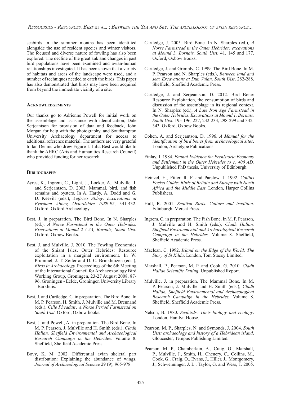seabirds in the summer months has been identified alongside the use of resident species and winter visitors. The focused and diverse nature of fowling has also been explored. The decline of the great auk and changes in past bird populations have been examined and avian-human relationships investigated. It has been shown that a variety of habitats and areas of the landscape were used, and a number of techniques needed to catch the birds. This paper has also demonstrated that birds may have been acquired from beyond the immediate vicinity of a site.

#### **ACKNOWLEDGEMENTS**

Our thanks go to Adrienne Powell for initial work on the assemblage and assistance with identification, Dale Serjeantson for provision of data and feedback, John Morgan for help with the photography, and Southampton University Archaeology department for access to additional reference material. The authors are very grateful to Ian Dennis who drew Figure 1. Julia Best would like to thank the AHRC (Arts and Humanities Research Council) who provided funding for her research.

#### **BIBLIOGRAPHY**

- Ayres, K., Ingrem, C., Light, J., Locker, A., Mulville, J. and Serjeantson, D. 2003. Mammal, bird, and fish remains and oysters. In A. Hardy, A. Dodd and G. D. Keevill (eds.), *Aelfric's Abbey: Excavations at Eynsham Abbey, Oxfordshire 1989-92*, 341-432. Oxford, Oxford Archaeology.
- Best, J. in preparation. The Bird Bone. In N. Sharples (ed.), *A Norse Farmstead in the Outer Hebrides. Excavations at Mound 2 / 2A, Bornais, South Uist.* Oxford, Oxbow Books.
- Best, J. and Mulville, J. 2010. The Fowling Economies of the Shiant Isles, Outer Hebrides: Resource exploitation in a marginal environment. In W. Prummel, J. T. Zeiler and D. C. Brinkhuizen (eds.), *Birds in Archaeology.* Proceedings of the 6th Meeting of the International Council for Archaeozoology Bird Working Group, Groningen, 23-27 August 2008, 87- 96. Groningen - Eelde, Groningen University Library - Barkhuis.
- Best, J. and Cartledge, C. in preparation. The Bird Bone. In M. P. Pearson, H. Smith, J. Mulville and M. Brennand (eds.), *Cille Pheadair: A Norse Period Farmstead on South Uist*. Oxford, Oxbow books.
- Best, J. and Powell, A. in preparation. The Bird Bone. In M. P. Pearson, J. Mulville and H. Smith (eds.), *Cladh Hallan, Sheffield Environmental and Archaeological Research Campaign in the Hebrides,* Volume 8. Sheffield, Sheffield Academic Press.
- Bovy, K. M. 2002. Differential avian skeletal part distribution: Explaining the abundance of wings. *Journal of Archaeological Science* 29 (9), 965-978.
- Cartledge, J. 2005. Bird Bone. In N. Sharples (ed.), *A Norse Farmstead in the Outer Hebrides: excavations at Mound 3, Bornais, South Uist*, 41, 145 and 177. Oxford, Oxbow Books.
- Cartledge, J. and Grimbly, C. 1999. The Bird Bone. In M. P. Pearson and N. Sharples (eds.), *Between land and sea: Excavations at Dun Vulan, South Uist*, 282-288. Sheffield, Sheffield Academic Press.
- Cartledge, J. and Serjeantson, D. 2012. Bird Bone: Resource Exploitation, the consumption of birds and discussion of the assemblage in its regional context. In N. Sharples (ed.), *A Late Iron Age Farmstead in the Outer Hebrides. Excavations at Mound 1, Bornais, South Uist.* 195-196, 227, 232-233, 298-299 and 342- 343. Oxford, Oxbow Books.
- Cohen, A. and Serjeantson, D. 1996. *A Manual for the identification of bird bones from archaeological sites.* London, Archetype Publications.
- Finlay, J. 1984. *Faunal Evidence for Prehistoric Economy and Settlement in the Outer Hebrides to c. 400 AD.*  Unpublished PhD thesis, University of Edinburgh.
- Heinzel, H., Fitter, R. F. and Parslow, J. 1992. *Collins Pocket Guide: Birds of Britain and Europe with North Africa and the Middle East*. London, Harper Collins Publishers.
- Hull, R. 2001. *Scottish Birds: Culture and tradition*. Edinburgh, Mercat Press.
- Ingrem, C. in preparation. The Fish Bone. In M. P. Pearson, J. Mulville and H. Smith (eds.), *Cladh Hallan,*  **Sheffield Environmental and Archaeological Research** *Campaign in the Hebrides, Volume 8. Sheffield,* Sheffield Academic Press.
- Maclean, C. 1992. *Island on the Edge of the World: The Story of St Kilda*. London, Tom Stacey Limited.
- Marshall, P., Pearson, M. P. and Cook, G. 2010. *Cladh Hallan Scientific Dating.* Unpublished Report.
- Mulville, J. in preparation. The Mammal Bone. In M. P. Pearson, J. Mulville and H. Smith (eds.), *Cladh*  Hallan, Sheffield Environmental and Archaeological *Research Campaign in the Hebrides,* Volume 8. Sheffield, Sheffield Academic Press.
- Nelson, B. 1980. *Seabirds: Their biology and ecology*. London, Hamlyn House.
- Pearson, M. P., Sharples, N. and Symonds, J. 2004. *South Uist: archaeology and history of a Hebridean island*. Gloucester, Tempus Publishing Limited.
- Pearson, M. P., Chamberlain, A., Craig, O., Marshall, P., Mulville, J., Smith, H., Chenery, C., Collins, M., Cook, G., Craig, O., Evans, J., Hiller, J., Montgomery, J., Schwenninger, J. L., Taylor, G. and Wess, T. 2005.